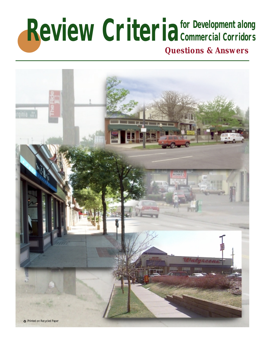# **Review Criteria** for Development along<br>Questions & Answers **Commercial Corridors**

*Questions & Answers*

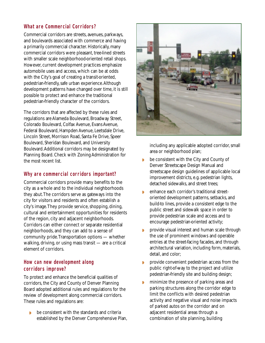## **What are Commercial Corridors?**

Commercial corridors are streets, avenues, parkways, and boulevards associated with commerce and having a primarily commercial character. Historically, many commercial corridors were pleasant, tree-lined streets with smaller scale neighborhood-oriented retail shops. However, current development practices emphasize automobile uses and access, which can be at odds with the City's goal of creating a transit-oriented, pedestrian-friendly, safe urban experience.Although development patterns have changed over time, it is still possible to protect and enhance the traditional pedestrian-friendly character of the corridors.

The corridors that are affected by these rules and regulations are Alameda Boulevard, Broadway Street, Colorado Boulevard, Colfax Avenue, Evans Avenue, Federal Boulevard, Hampden Avenue, Leetsdale Drive, Lincoln Street, Morrison Road, Santa Fe Drive, Speer Boulevard, Sheridan Boulevard, and University Boulevard.Additional corridors may be designated by Planning Board. Check with Zoning Administration for the most recent list.

## **Why are commercial corridors important?**

Commercial corridors provide many benefits to the city as a whole and to the individual neighborhoods they abut.The corridors serve as gateways into the city for visitors and residents and often establish a city's image.They provide service, shopping, dining, cultural and entertainment opportunities for residents of the region, city and adjacent neighborhoods. Corridors can either connect or separate residential neighborhoods, and they can add to a sense of community pride.Transportation options — whether walking, driving, or using mass transit — are a critical element of corridors.

#### **How can new development along corridors improve?**

To protect and enhance the beneficial qualities of corridors, the City and County of Denver Planning Board adopted additional rules and regulations for the review of development along commercial corridors. These rules and regulations are:

◗ be consistent with the standards and criteria established by the Denver Comprehensive Plan,



including any applicable adopted corridor, small area or neighborhood plan;

- ◗ be consistent with the City and County of Denver Streetscape Design Manual and streetscape design guidelines of applicable local improvement districts, e.g. pedestrian lights, detached sidewalks, and street trees;
- ◗ enhance each corridor's traditional streetoriented development patterns, setbacks, and build-to lines, provide a consistent edge to the public street and sidewalk space in order to provide pedestrian scale and access and to encourage pedestrian-oriented activity;
- ◗ provide visual interest and human scale through the use of prominent windows and operable entries at the street-facing facades, and through architectural variation, including form, materials, detail, and color;
- ◗ provide convenient pedestrian access from the public right-of-way to the project and utilize pedestrian-friendly site and building design;
- **•** minimize the presence of parking areas and parking structures along the corridor edge to limit the conflicts with desired pedestrian activity and negative visual and noise impacts of parked autos on the corridor and on adjacent residential areas through a combination of site planning, building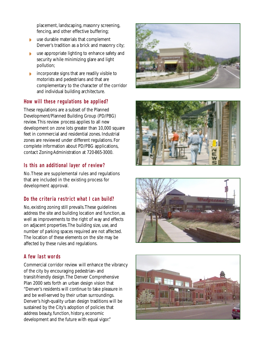placement, landscaping, masonry screening, fencing, and other effective buffering;

- ◗ use durable materials that complement Denver's tradition as a brick and masonry city;
- ◗ use appropriate lighting to enhance safety and security while minimizing glare and light pollution;
- ◗ incorporate signs that are readily visible to motorists and pedestrians and that are complementary to the character of the corridor and individual building architecture.

## **How will these regulations be applied?**

These regulations are a subset of the Planned Development/Planned Building Group (PD/PBG) review.This review process applies to all new development on zone lots greater than 10,000 square feet in commercial and residential zones. Industrial zones are reviewed under different regulations. For complete information about PD/PBG applications, contact Zoning Administration at 720-865-3000.

#### **Is this an additional layer of review?**

No.These are supplemental rules and regulations that are included in the existing process for development approval.

## **Do the criteria restrict what I can build?**

No, existing zoning still prevails.These guidelines address the site and building location and function, as well as improvements to the right of way and effects on adjacent properties.The building size, use, and number of parking spaces required are not affected. The location of these elements on the site may be affected by these rules and regulations.

## **A few last words**

Commercial corridor review will enhance the vibrancy of the city by encouraging pedestrian- and transit-friendly design.The Denver Comprehensive Plan 2000 sets forth an urban design vision that "Denver's residents will continue to take pleasure in and be well-served by their urban surroundings. Denver's high-quality urban design traditions will be sustained by the City's adoption of policies that address beauty, function, history, economic development and the future with equal vigor."